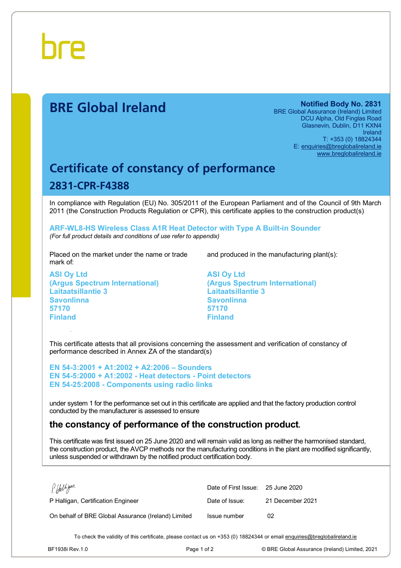

# **BRE Global Ireland Notified Body No. 2831**

BRE Global Assurance (Ireland) Limited DCU Alpha, Old Finglas Road Glasnevin, Dublin, D11 KXN4 Ireland T: +353 (0) 18824344 E: [enquiries@breglobalireland.ie](mailto:enquiries@breglobalireland.ie) [www.breglobalireland.ie](http://www.breglobalireland.ie)

# **Certificate of constancy of performance 2831-CPR-F4388**

In compliance with Regulation (EU) No. 305/2011 of the European Parliament and of the Council of 9th March 2011 (the Construction Products Regulation or CPR), this certificate applies to the construction product(s)

**ARF-WL8-HS Wireless Class A1R Heat Detector with Type A Built-in Sounder**  *(For full product details and conditions of use refer to appendix)* 

Placed on the market under the name or trade mark of:

**ASI Oy Ltd (Argus Spectrum International) Laitaatsillantie 3 Savonlinna 57170 Finland** 

and produced in the manufacturing plant(s):

**ASI Oy Ltd (Argus Spectrum International) Laitaatsillantie 3 Savonlinna 57170 Finland** 

This certificate attests that all provisions concerning the assessment and verification of constancy of performance described in Annex ZA of the standard(s)

**EN 54-3:2001 + A1:2002 + A2:2006 – Sounders EN 54-5:2000 + A1:2002 - Heat detectors - Point detectors EN 54-25:2008 - Components using radio links** 

under system 1 for the performance set out in this certificate are applied and that the factory production control conducted by the manufacturer is assessed to ensure

# **the constancy of performance of the construction product.**

This certificate was first issued on 25 June 2020 and will remain valid as long as neither the harmonised standard, the construction product, the AVCP methods nor the manufacturing conditions in the plant are modified significantly, unless suspended or withdrawn by the notified product certification body.

| P. Halligan.                                        | Date of First Issue: 25 June 2020 |                  |
|-----------------------------------------------------|-----------------------------------|------------------|
| P Halligan, Certification Engineer                  | Date of Issue:                    | 21 December 2021 |
| On behalf of BRE Global Assurance (Ireland) Limited | Issue number                      | 02               |

To check the validity of this certificate, please contact us on +353 (0) 18824344 or email [enquiries@breglobalireland.ie](mailto:enquiries@breglobalireland.ie)